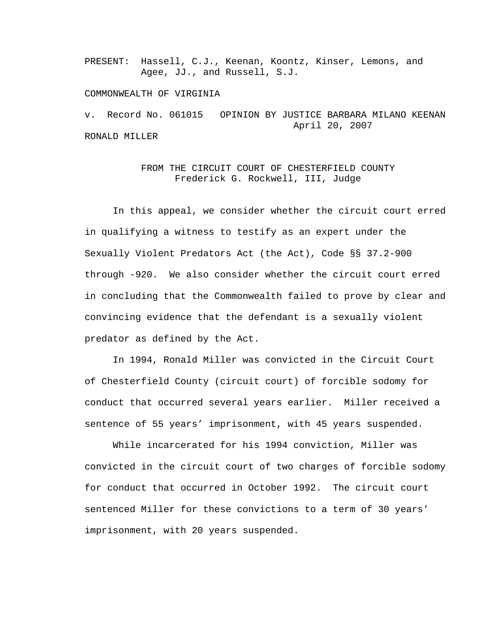PRESENT: Hassell, C.J., Keenan, Koontz, Kinser, Lemons, and Agee, JJ., and Russell, S.J.

## COMMONWEALTH OF VIRGINIA

v. Record No. 061015 OPINION BY JUSTICE BARBARA MILANO KEENAN April 20, 2007 RONALD MILLER

## FROM THE CIRCUIT COURT OF CHESTERFIELD COUNTY Frederick G. Rockwell, III, Judge

 In this appeal, we consider whether the circuit court erred in qualifying a witness to testify as an expert under the Sexually Violent Predators Act (the Act), Code §§ 37.2-900 through -920. We also consider whether the circuit court erred in concluding that the Commonwealth failed to prove by clear and convincing evidence that the defendant is a sexually violent predator as defined by the Act.

 In 1994, Ronald Miller was convicted in the Circuit Court of Chesterfield County (circuit court) of forcible sodomy for conduct that occurred several years earlier. Miller received a sentence of 55 years' imprisonment, with 45 years suspended.

 While incarcerated for his 1994 conviction, Miller was convicted in the circuit court of two charges of forcible sodomy for conduct that occurred in October 1992. The circuit court sentenced Miller for these convictions to a term of 30 years' imprisonment, with 20 years suspended.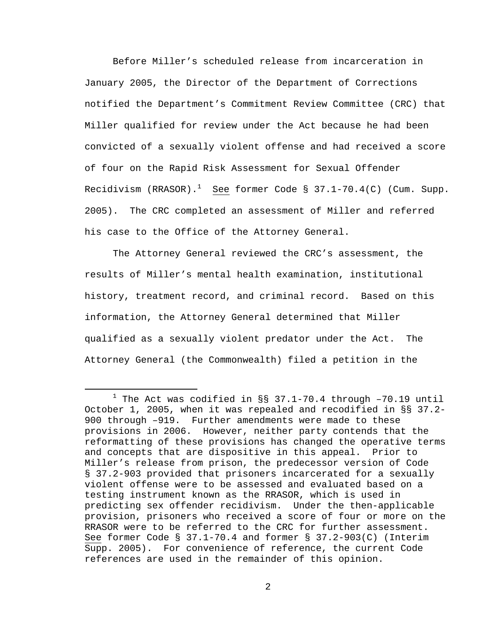Before Miller's scheduled release from incarceration in January 2005, the Director of the Department of Corrections notified the Department's Commitment Review Committee (CRC) that Miller qualified for review under the Act because he had been convicted of a sexually violent offense and had received a score of four on the Rapid Risk Assessment for Sexual Offender Recidivism (RRASOR). $^1$  See former Code § 37.1-70.4(C) (Cum. Supp. 2005). The CRC completed an assessment of Miller and referred his case to the Office of the Attorney General.

The Attorney General reviewed the CRC's assessment, the results of Miller's mental health examination, institutional history, treatment record, and criminal record. Based on this information, the Attorney General determined that Miller qualified as a sexually violent predator under the Act. The Attorney General (the Commonwealth) filed a petition in the

<sup>&</sup>lt;u>1</u>  $1$  The Act was codified in §§ 37.1-70.4 through -70.19 until October 1, 2005, when it was repealed and recodified in §§ 37.2- 900 through –919. Further amendments were made to these provisions in 2006. However, neither party contends that the reformatting of these provisions has changed the operative terms and concepts that are dispositive in this appeal. Prior to Miller's release from prison, the predecessor version of Code § 37.2-903 provided that prisoners incarcerated for a sexually violent offense were to be assessed and evaluated based on a testing instrument known as the RRASOR, which is used in predicting sex offender recidivism. Under the then-applicable provision, prisoners who received a score of four or more on the RRASOR were to be referred to the CRC for further assessment. See former Code § 37.1-70.4 and former § 37.2-903(C) (Interim Supp. 2005). For convenience of reference, the current Code references are used in the remainder of this opinion.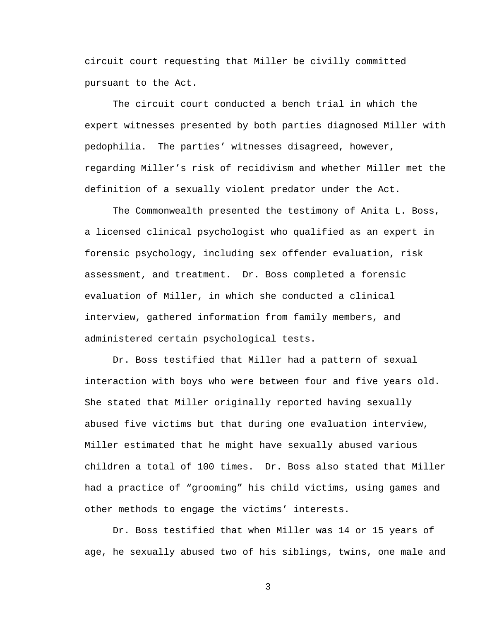circuit court requesting that Miller be civilly committed pursuant to the Act.

 The circuit court conducted a bench trial in which the expert witnesses presented by both parties diagnosed Miller with pedophilia. The parties' witnesses disagreed, however, regarding Miller's risk of recidivism and whether Miller met the definition of a sexually violent predator under the Act.

 The Commonwealth presented the testimony of Anita L. Boss, a licensed clinical psychologist who qualified as an expert in forensic psychology, including sex offender evaluation, risk assessment, and treatment. Dr. Boss completed a forensic evaluation of Miller, in which she conducted a clinical interview, gathered information from family members, and administered certain psychological tests.

Dr. Boss testified that Miller had a pattern of sexual interaction with boys who were between four and five years old. She stated that Miller originally reported having sexually abused five victims but that during one evaluation interview, Miller estimated that he might have sexually abused various children a total of 100 times. Dr. Boss also stated that Miller had a practice of "grooming" his child victims, using games and other methods to engage the victims' interests.

 Dr. Boss testified that when Miller was 14 or 15 years of age, he sexually abused two of his siblings, twins, one male and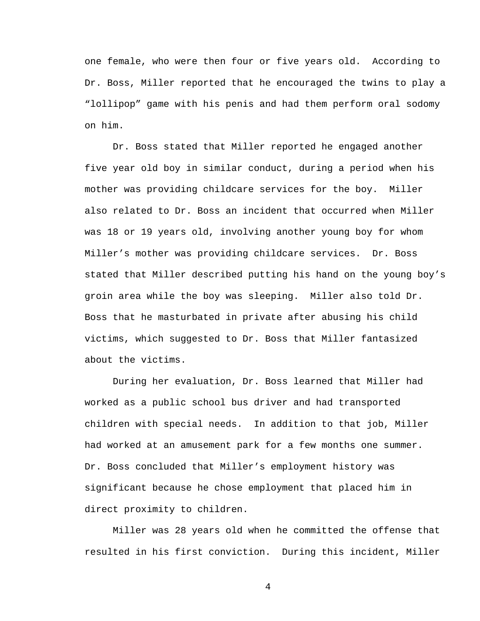one female, who were then four or five years old. According to Dr. Boss, Miller reported that he encouraged the twins to play a "lollipop" game with his penis and had them perform oral sodomy on him.

Dr. Boss stated that Miller reported he engaged another five year old boy in similar conduct, during a period when his mother was providing childcare services for the boy. Miller also related to Dr. Boss an incident that occurred when Miller was 18 or 19 years old, involving another young boy for whom Miller's mother was providing childcare services. Dr. Boss stated that Miller described putting his hand on the young boy's groin area while the boy was sleeping. Miller also told Dr. Boss that he masturbated in private after abusing his child victims, which suggested to Dr. Boss that Miller fantasized about the victims.

During her evaluation, Dr. Boss learned that Miller had worked as a public school bus driver and had transported children with special needs. In addition to that job, Miller had worked at an amusement park for a few months one summer. Dr. Boss concluded that Miller's employment history was significant because he chose employment that placed him in direct proximity to children.

Miller was 28 years old when he committed the offense that resulted in his first conviction. During this incident, Miller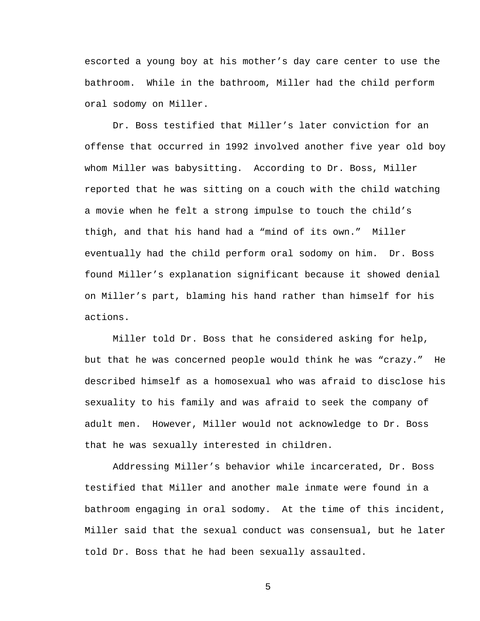escorted a young boy at his mother's day care center to use the bathroom. While in the bathroom, Miller had the child perform oral sodomy on Miller.

Dr. Boss testified that Miller's later conviction for an offense that occurred in 1992 involved another five year old boy whom Miller was babysitting. According to Dr. Boss, Miller reported that he was sitting on a couch with the child watching a movie when he felt a strong impulse to touch the child's thigh, and that his hand had a "mind of its own." Miller eventually had the child perform oral sodomy on him. Dr. Boss found Miller's explanation significant because it showed denial on Miller's part, blaming his hand rather than himself for his actions.

Miller told Dr. Boss that he considered asking for help, but that he was concerned people would think he was "crazy." He described himself as a homosexual who was afraid to disclose his sexuality to his family and was afraid to seek the company of adult men. However, Miller would not acknowledge to Dr. Boss that he was sexually interested in children.

 Addressing Miller's behavior while incarcerated, Dr. Boss testified that Miller and another male inmate were found in a bathroom engaging in oral sodomy. At the time of this incident, Miller said that the sexual conduct was consensual, but he later told Dr. Boss that he had been sexually assaulted.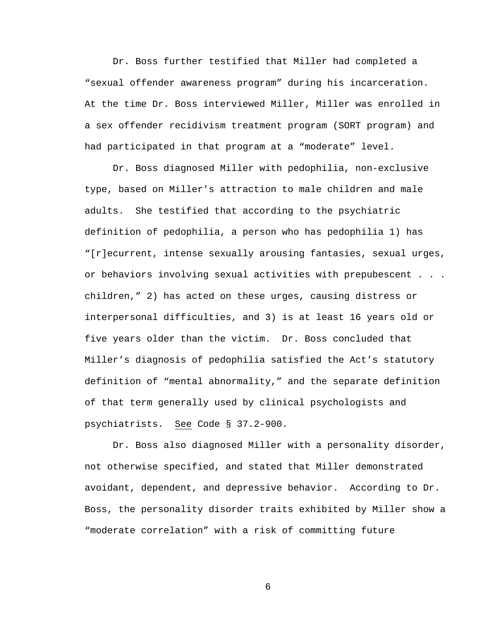Dr. Boss further testified that Miller had completed a "sexual offender awareness program" during his incarceration. At the time Dr. Boss interviewed Miller, Miller was enrolled in a sex offender recidivism treatment program (SORT program) and had participated in that program at a "moderate" level.

 Dr. Boss diagnosed Miller with pedophilia, non-exclusive type, based on Miller's attraction to male children and male adults. She testified that according to the psychiatric definition of pedophilia, a person who has pedophilia 1) has "[r]ecurrent, intense sexually arousing fantasies, sexual urges, or behaviors involving sexual activities with prepubescent . . . children," 2) has acted on these urges, causing distress or interpersonal difficulties, and 3) is at least 16 years old or five years older than the victim. Dr. Boss concluded that Miller's diagnosis of pedophilia satisfied the Act's statutory definition of "mental abnormality," and the separate definition of that term generally used by clinical psychologists and psychiatrists. See Code § 37.2-900.

 Dr. Boss also diagnosed Miller with a personality disorder, not otherwise specified, and stated that Miller demonstrated avoidant, dependent, and depressive behavior. According to Dr. Boss, the personality disorder traits exhibited by Miller show a "moderate correlation" with a risk of committing future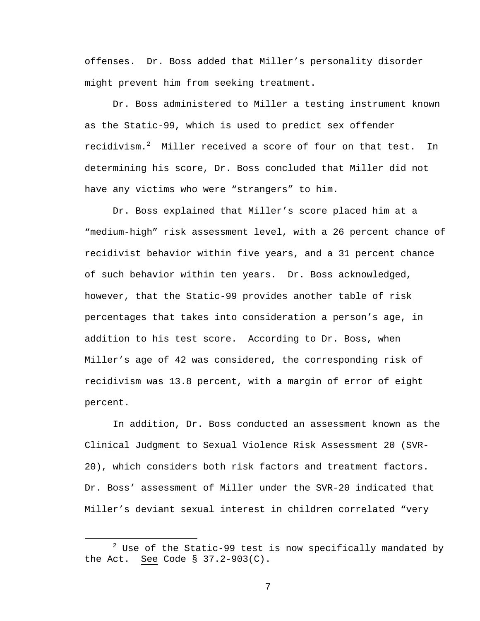offenses. Dr. Boss added that Miller's personality disorder might prevent him from seeking treatment.

Dr. Boss administered to Miller a testing instrument known as the Static-99, which is used to predict sex offender recidivism. $^2$  Miller received a score of four on that test. In determining his score, Dr. Boss concluded that Miller did not have any victims who were "strangers" to him.

 Dr. Boss explained that Miller's score placed him at a "medium-high" risk assessment level, with a 26 percent chance of recidivist behavior within five years, and a 31 percent chance of such behavior within ten years. Dr. Boss acknowledged, however, that the Static-99 provides another table of risk percentages that takes into consideration a person's age, in addition to his test score. According to Dr. Boss, when Miller's age of 42 was considered, the corresponding risk of recidivism was 13.8 percent, with a margin of error of eight percent.

In addition, Dr. Boss conducted an assessment known as the Clinical Judgment to Sexual Violence Risk Assessment 20 (SVR-20), which considers both risk factors and treatment factors. Dr. Boss' assessment of Miller under the SVR-20 indicated that Miller's deviant sexual interest in children correlated "very

 <sup>2</sup>  $2$  Use of the Static-99 test is now specifically mandated by the Act. See Code § 37.2-903(C).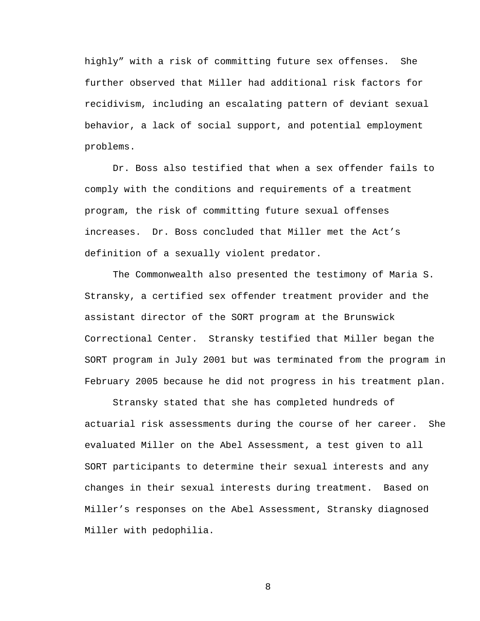highly" with a risk of committing future sex offenses. She further observed that Miller had additional risk factors for recidivism, including an escalating pattern of deviant sexual behavior, a lack of social support, and potential employment problems.

Dr. Boss also testified that when a sex offender fails to comply with the conditions and requirements of a treatment program, the risk of committing future sexual offenses increases. Dr. Boss concluded that Miller met the Act's definition of a sexually violent predator.

 The Commonwealth also presented the testimony of Maria S. Stransky, a certified sex offender treatment provider and the assistant director of the SORT program at the Brunswick Correctional Center. Stransky testified that Miller began the SORT program in July 2001 but was terminated from the program in February 2005 because he did not progress in his treatment plan.

 Stransky stated that she has completed hundreds of actuarial risk assessments during the course of her career. She evaluated Miller on the Abel Assessment, a test given to all SORT participants to determine their sexual interests and any changes in their sexual interests during treatment. Based on Miller's responses on the Abel Assessment, Stransky diagnosed Miller with pedophilia.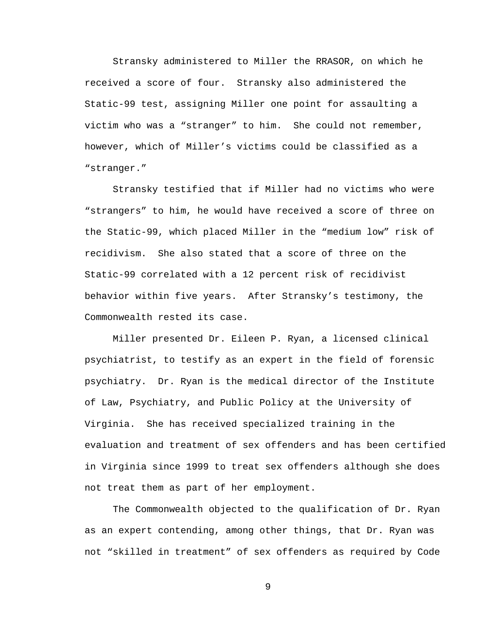Stransky administered to Miller the RRASOR, on which he received a score of four. Stransky also administered the Static-99 test, assigning Miller one point for assaulting a victim who was a "stranger" to him. She could not remember, however, which of Miller's victims could be classified as a "stranger."

Stransky testified that if Miller had no victims who were "strangers" to him, he would have received a score of three on the Static-99, which placed Miller in the "medium low" risk of recidivism. She also stated that a score of three on the Static-99 correlated with a 12 percent risk of recidivist behavior within five years. After Stransky's testimony, the Commonwealth rested its case.

 Miller presented Dr. Eileen P. Ryan, a licensed clinical psychiatrist, to testify as an expert in the field of forensic psychiatry. Dr. Ryan is the medical director of the Institute of Law, Psychiatry, and Public Policy at the University of Virginia. She has received specialized training in the evaluation and treatment of sex offenders and has been certified in Virginia since 1999 to treat sex offenders although she does not treat them as part of her employment.

 The Commonwealth objected to the qualification of Dr. Ryan as an expert contending, among other things, that Dr. Ryan was not "skilled in treatment" of sex offenders as required by Code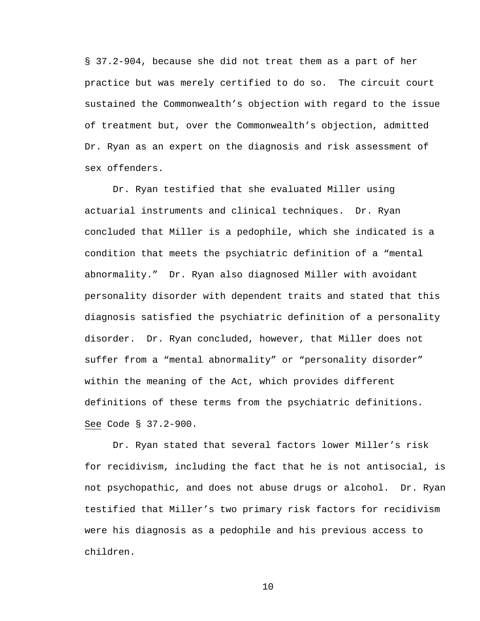§ 37.2-904, because she did not treat them as a part of her practice but was merely certified to do so. The circuit court sustained the Commonwealth's objection with regard to the issue of treatment but, over the Commonwealth's objection, admitted Dr. Ryan as an expert on the diagnosis and risk assessment of sex offenders.

 Dr. Ryan testified that she evaluated Miller using actuarial instruments and clinical techniques. Dr. Ryan concluded that Miller is a pedophile, which she indicated is a condition that meets the psychiatric definition of a "mental abnormality." Dr. Ryan also diagnosed Miller with avoidant personality disorder with dependent traits and stated that this diagnosis satisfied the psychiatric definition of a personality disorder. Dr. Ryan concluded, however, that Miller does not suffer from a "mental abnormality" or "personality disorder" within the meaning of the Act, which provides different definitions of these terms from the psychiatric definitions. See Code § 37.2-900.

 Dr. Ryan stated that several factors lower Miller's risk for recidivism, including the fact that he is not antisocial, is not psychopathic, and does not abuse drugs or alcohol. Dr. Ryan testified that Miller's two primary risk factors for recidivism were his diagnosis as a pedophile and his previous access to children.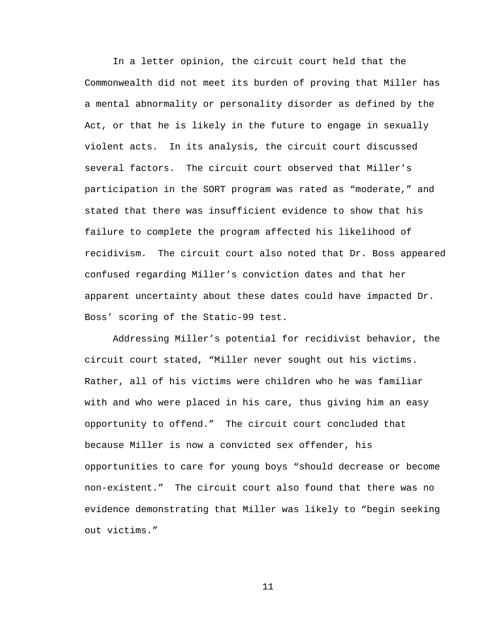In a letter opinion, the circuit court held that the Commonwealth did not meet its burden of proving that Miller has a mental abnormality or personality disorder as defined by the Act, or that he is likely in the future to engage in sexually violent acts. In its analysis, the circuit court discussed several factors. The circuit court observed that Miller's participation in the SORT program was rated as "moderate," and stated that there was insufficient evidence to show that his failure to complete the program affected his likelihood of recidivism. The circuit court also noted that Dr. Boss appeared confused regarding Miller's conviction dates and that her apparent uncertainty about these dates could have impacted Dr. Boss' scoring of the Static-99 test.

 Addressing Miller's potential for recidivist behavior, the circuit court stated, "Miller never sought out his victims. Rather, all of his victims were children who he was familiar with and who were placed in his care, thus giving him an easy opportunity to offend." The circuit court concluded that because Miller is now a convicted sex offender, his opportunities to care for young boys "should decrease or become non-existent." The circuit court also found that there was no evidence demonstrating that Miller was likely to "begin seeking out victims."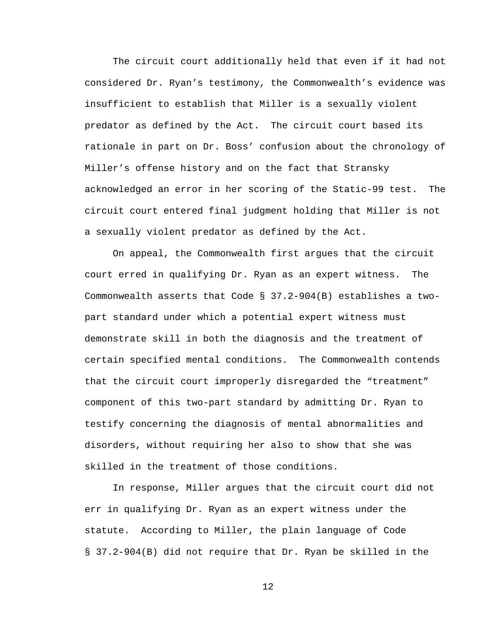The circuit court additionally held that even if it had not considered Dr. Ryan's testimony, the Commonwealth's evidence was insufficient to establish that Miller is a sexually violent predator as defined by the Act. The circuit court based its rationale in part on Dr. Boss' confusion about the chronology of Miller's offense history and on the fact that Stransky acknowledged an error in her scoring of the Static-99 test. The circuit court entered final judgment holding that Miller is not a sexually violent predator as defined by the Act.

 On appeal, the Commonwealth first argues that the circuit court erred in qualifying Dr. Ryan as an expert witness. The Commonwealth asserts that Code § 37.2-904(B) establishes a twopart standard under which a potential expert witness must demonstrate skill in both the diagnosis and the treatment of certain specified mental conditions. The Commonwealth contends that the circuit court improperly disregarded the "treatment" component of this two-part standard by admitting Dr. Ryan to testify concerning the diagnosis of mental abnormalities and disorders, without requiring her also to show that she was skilled in the treatment of those conditions.

In response, Miller argues that the circuit court did not err in qualifying Dr. Ryan as an expert witness under the statute. According to Miller, the plain language of Code § 37.2-904(B) did not require that Dr. Ryan be skilled in the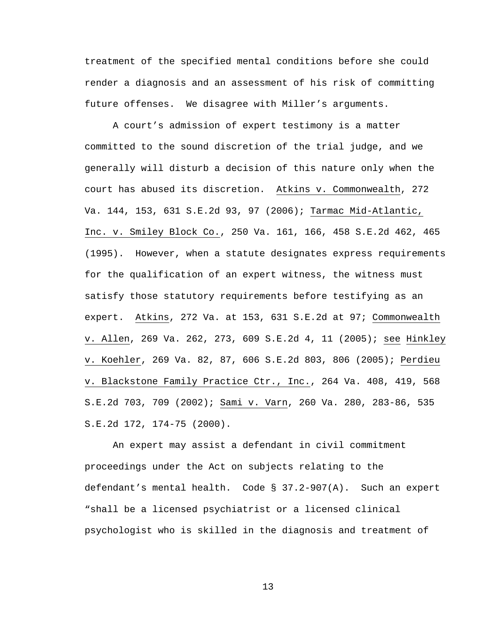treatment of the specified mental conditions before she could render a diagnosis and an assessment of his risk of committing future offenses. We disagree with Miller's arguments.

 A court's admission of expert testimony is a matter committed to the sound discretion of the trial judge, and we generally will disturb a decision of this nature only when the court has abused its discretion. Atkins v. Commonwealth, 272 Va. 144, 153, 631 S.E.2d 93, 97 (2006); Tarmac Mid-Atlantic, Inc. v. Smiley Block Co., 250 Va. 161, 166, 458 S.E.2d 462, 465 (1995). However, when a statute designates express requirements for the qualification of an expert witness, the witness must satisfy those statutory requirements before testifying as an expert. Atkins, 272 Va. at 153, 631 S.E.2d at 97; Commonwealth v. Allen, 269 Va. 262, 273, 609 S.E.2d 4, 11 (2005); see Hinkley v. Koehler, 269 Va. 82, 87, 606 S.E.2d 803, 806 (2005); Perdieu v. Blackstone Family Practice Ctr., Inc., 264 Va. 408, 419, 568 S.E.2d 703, 709 (2002); Sami v. Varn, 260 Va. 280, 283-86, 535 S.E.2d 172, 174-75 (2000).

An expert may assist a defendant in civil commitment proceedings under the Act on subjects relating to the defendant's mental health. Code § 37.2-907(A). Such an expert "shall be a licensed psychiatrist or a licensed clinical psychologist who is skilled in the diagnosis and treatment of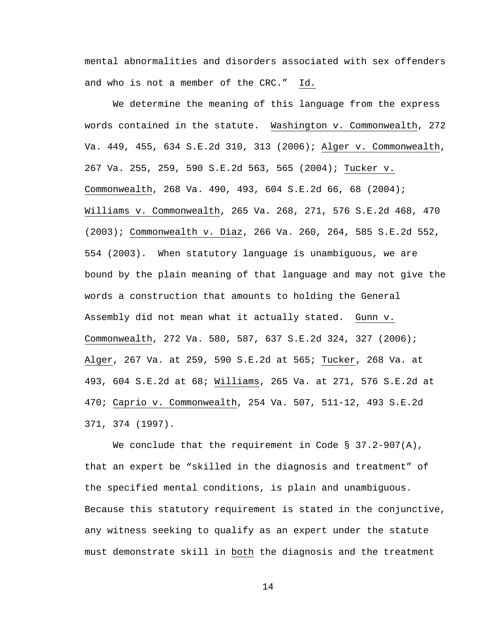mental abnormalities and disorders associated with sex offenders and who is not a member of the CRC." Id.

We determine the meaning of this language from the express words contained in the statute. Washington v. Commonwealth, 272 Va. 449, 455, 634 S.E.2d 310, 313 (2006); Alger v. Commonwealth, 267 Va. 255, 259, 590 S.E.2d 563, 565 (2004); Tucker v. Commonwealth, 268 Va. 490, 493, 604 S.E.2d 66, 68 (2004); Williams v. Commonwealth, 265 Va. 268, 271, 576 S.E.2d 468, 470 (2003); Commonwealth v. Diaz, 266 Va. 260, 264, 585 S.E.2d 552, 554 (2003). When statutory language is unambiguous, we are bound by the plain meaning of that language and may not give the words a construction that amounts to holding the General Assembly did not mean what it actually stated. Gunn v. Commonwealth, 272 Va. 580, 587, 637 S.E.2d 324, 327 (2006); Alger, 267 Va. at 259, 590 S.E.2d at 565; Tucker, 268 Va. at 493, 604 S.E.2d at 68; Williams, 265 Va. at 271, 576 S.E.2d at 470; Caprio v. Commonwealth, 254 Va. 507, 511-12, 493 S.E.2d 371, 374 (1997).

We conclude that the requirement in Code  $\S$  37.2-907(A), that an expert be "skilled in the diagnosis and treatment" of the specified mental conditions, is plain and unambiguous. Because this statutory requirement is stated in the conjunctive, any witness seeking to qualify as an expert under the statute must demonstrate skill in both the diagnosis and the treatment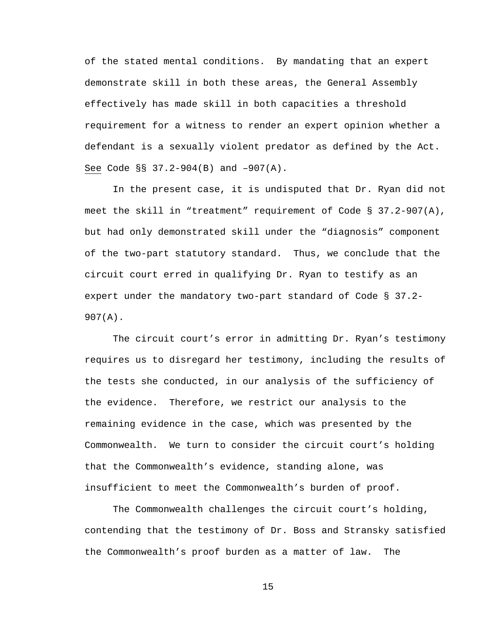of the stated mental conditions. By mandating that an expert demonstrate skill in both these areas, the General Assembly effectively has made skill in both capacities a threshold requirement for a witness to render an expert opinion whether a defendant is a sexually violent predator as defined by the Act. See Code §§ 37.2-904(B) and –907(A).

In the present case, it is undisputed that Dr. Ryan did not meet the skill in "treatment" requirement of Code § 37.2-907(A), but had only demonstrated skill under the "diagnosis" component of the two-part statutory standard. Thus, we conclude that the circuit court erred in qualifying Dr. Ryan to testify as an expert under the mandatory two-part standard of Code § 37.2- 907(A).

The circuit court's error in admitting Dr. Ryan's testimony requires us to disregard her testimony, including the results of the tests she conducted, in our analysis of the sufficiency of the evidence. Therefore, we restrict our analysis to the remaining evidence in the case, which was presented by the Commonwealth. We turn to consider the circuit court's holding that the Commonwealth's evidence, standing alone, was insufficient to meet the Commonwealth's burden of proof.

The Commonwealth challenges the circuit court's holding, contending that the testimony of Dr. Boss and Stransky satisfied the Commonwealth's proof burden as a matter of law. The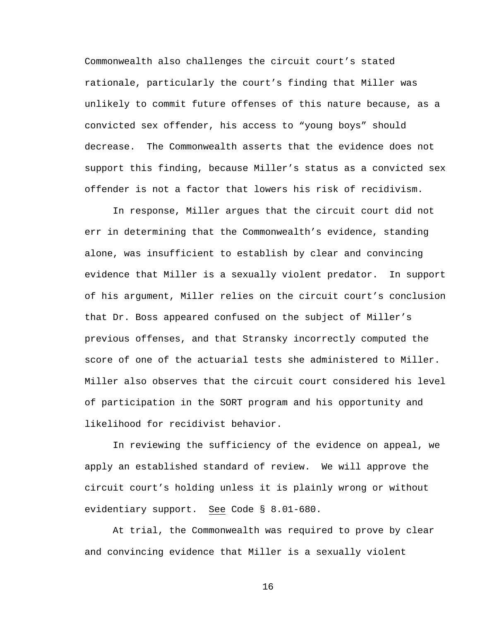Commonwealth also challenges the circuit court's stated rationale, particularly the court's finding that Miller was unlikely to commit future offenses of this nature because, as a convicted sex offender, his access to "young boys" should decrease. The Commonwealth asserts that the evidence does not support this finding, because Miller's status as a convicted sex offender is not a factor that lowers his risk of recidivism.

 In response, Miller argues that the circuit court did not err in determining that the Commonwealth's evidence, standing alone, was insufficient to establish by clear and convincing evidence that Miller is a sexually violent predator. In support of his argument, Miller relies on the circuit court's conclusion that Dr. Boss appeared confused on the subject of Miller's previous offenses, and that Stransky incorrectly computed the score of one of the actuarial tests she administered to Miller. Miller also observes that the circuit court considered his level of participation in the SORT program and his opportunity and likelihood for recidivist behavior.

 In reviewing the sufficiency of the evidence on appeal, we apply an established standard of review. We will approve the circuit court's holding unless it is plainly wrong or without evidentiary support. See Code § 8.01-680.

At trial, the Commonwealth was required to prove by clear and convincing evidence that Miller is a sexually violent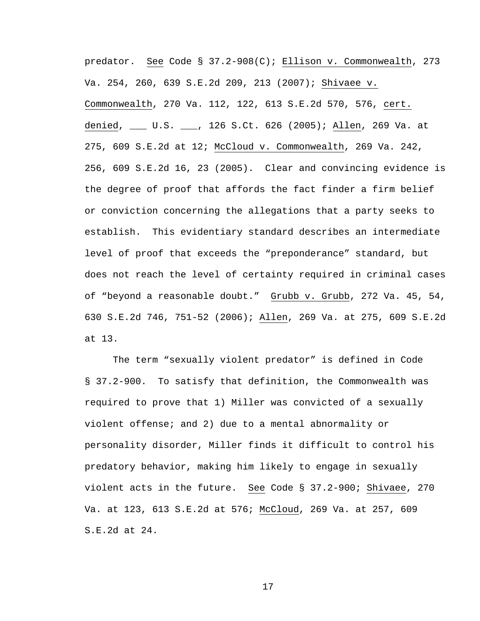predator. See Code § 37.2-908(C); Ellison v. Commonwealth, 273 Va. 254, 260, 639 S.E.2d 209, 213 (2007); Shivaee v. Commonwealth, 270 Va. 112, 122, 613 S.E.2d 570, 576, cert. denied, \_\_\_ U.S. \_\_\_, 126 S.Ct. 626 (2005); Allen, 269 Va. at 275, 609 S.E.2d at 12; McCloud v. Commonwealth, 269 Va. 242, 256, 609 S.E.2d 16, 23 (2005). Clear and convincing evidence is the degree of proof that affords the fact finder a firm belief or conviction concerning the allegations that a party seeks to establish. This evidentiary standard describes an intermediate level of proof that exceeds the "preponderance" standard, but does not reach the level of certainty required in criminal cases of "beyond a reasonable doubt." Grubb v. Grubb, 272 Va. 45, 54, 630 S.E.2d 746, 751-52 (2006); Allen, 269 Va. at 275, 609 S.E.2d at 13.

The term "sexually violent predator" is defined in Code § 37.2-900. To satisfy that definition, the Commonwealth was required to prove that 1) Miller was convicted of a sexually violent offense; and 2) due to a mental abnormality or personality disorder, Miller finds it difficult to control his predatory behavior, making him likely to engage in sexually violent acts in the future. See Code § 37.2-900; Shivaee, 270 Va. at 123, 613 S.E.2d at 576; McCloud, 269 Va. at 257, 609 S.E.2d at 24.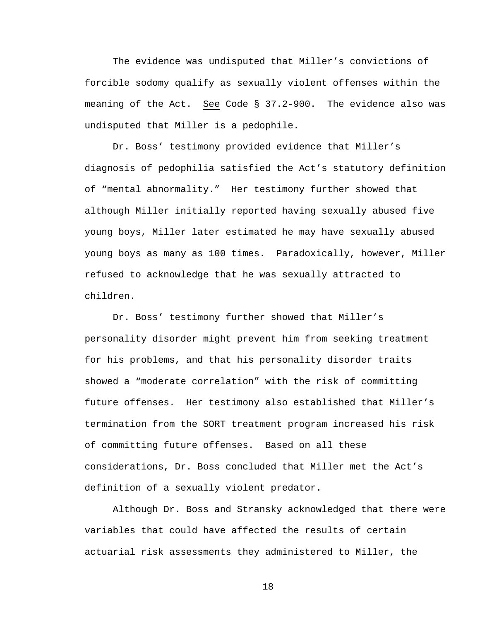The evidence was undisputed that Miller's convictions of forcible sodomy qualify as sexually violent offenses within the meaning of the Act. See Code § 37.2-900. The evidence also was undisputed that Miller is a pedophile.

Dr. Boss' testimony provided evidence that Miller's diagnosis of pedophilia satisfied the Act's statutory definition of "mental abnormality." Her testimony further showed that although Miller initially reported having sexually abused five young boys, Miller later estimated he may have sexually abused young boys as many as 100 times. Paradoxically, however, Miller refused to acknowledge that he was sexually attracted to children.

Dr. Boss' testimony further showed that Miller's personality disorder might prevent him from seeking treatment for his problems, and that his personality disorder traits showed a "moderate correlation" with the risk of committing future offenses. Her testimony also established that Miller's termination from the SORT treatment program increased his risk of committing future offenses. Based on all these considerations, Dr. Boss concluded that Miller met the Act's definition of a sexually violent predator.

Although Dr. Boss and Stransky acknowledged that there were variables that could have affected the results of certain actuarial risk assessments they administered to Miller, the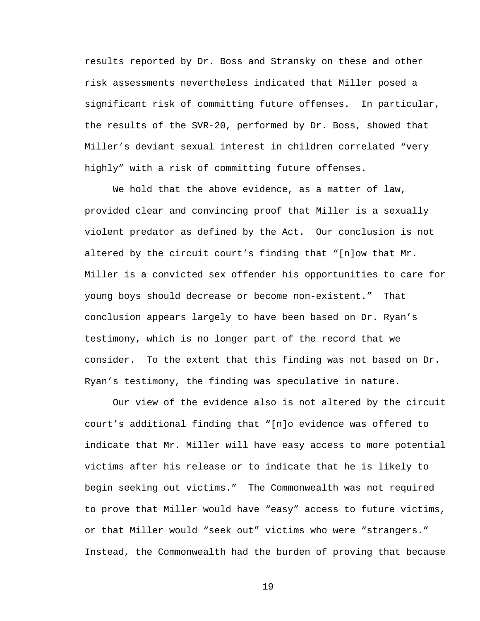results reported by Dr. Boss and Stransky on these and other risk assessments nevertheless indicated that Miller posed a significant risk of committing future offenses. In particular, the results of the SVR-20, performed by Dr. Boss, showed that Miller's deviant sexual interest in children correlated "very highly" with a risk of committing future offenses.

We hold that the above evidence, as a matter of law, provided clear and convincing proof that Miller is a sexually violent predator as defined by the Act. Our conclusion is not altered by the circuit court's finding that "[n]ow that Mr. Miller is a convicted sex offender his opportunities to care for young boys should decrease or become non-existent." That conclusion appears largely to have been based on Dr. Ryan's testimony, which is no longer part of the record that we consider. To the extent that this finding was not based on Dr. Ryan's testimony, the finding was speculative in nature.

Our view of the evidence also is not altered by the circuit court's additional finding that "[n]o evidence was offered to indicate that Mr. Miller will have easy access to more potential victims after his release or to indicate that he is likely to begin seeking out victims." The Commonwealth was not required to prove that Miller would have "easy" access to future victims, or that Miller would "seek out" victims who were "strangers." Instead, the Commonwealth had the burden of proving that because